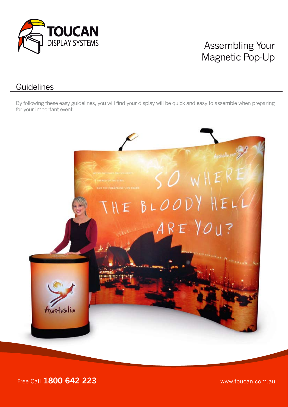

# Assembling Your Magnetic Pop-Up

#### **Guidelines**

By following these easy guidelines, you will find your display will be quick and easy to assemble when preparing for your important event.



Free Call **1800 642 223** www.toucan.com.au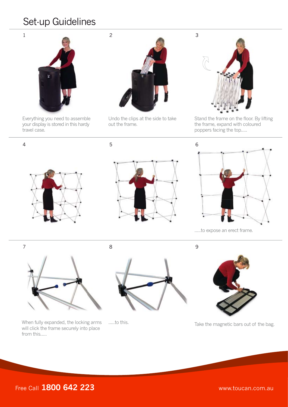## Set-up Guidelines



Everything you need to assemble your display is stored in this hardy travel case.



Undo the clips at the side to take out the frame.



Stand the frame on the floor. By lifting the frame, expand with coloured poppers facing the top.....







.....to expose an erect frame.

7 8 9

When fully expanded, the locking arms will click the frame securely into place from this.....





.....to this. Take the magnetic bars out of the bag.

### Free Call **1800 642 223** www.toucan.com.au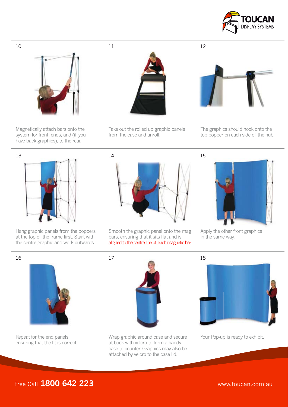



Magnetically attach bars onto the system for front, ends, and (if you have back graphics), to the rear.



Take out the rolled up graphic panels from the case and unroll.



The graphics should hook onto the top popper on each side of the hub.



Hang graphic panels from the poppers at the top of the frame first. Start with the centre graphic and work outwards.



Smooth the graphic panel onto the mag bars, ensuring that it sits flat and is aligned to the centre line of each magnetic bar.



Apply the other front graphics in the same way.



Repeat for the end panels, ensuring that the fit is correct.



Wrap graphic around case and secure Your Pop-up is ready to exhibit. at back with velcro to form a handy case-to-counter. Graphics may also be attached by velcro to the case lid.

Free Call **1800 642 223** www.toucan.com.au